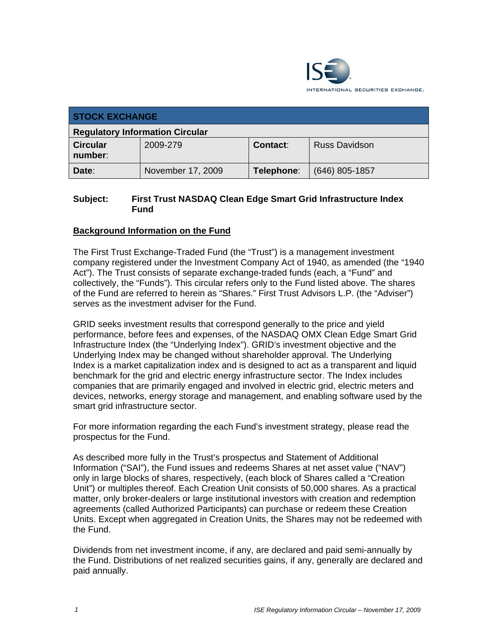

| <b>STOCK EXCHANGE</b>                  |                   |            |                  |  |  |
|----------------------------------------|-------------------|------------|------------------|--|--|
| <b>Regulatory Information Circular</b> |                   |            |                  |  |  |
| <b>Circular</b><br>number:             | 2009-279          | Contact:   | Russ Davidson    |  |  |
| Date:                                  | November 17, 2009 | Telephone: | $(646)$ 805-1857 |  |  |

### **Subject: First Trust NASDAQ Clean Edge Smart Grid Infrastructure Index Fund**

## **Background Information on the Fund**

The First Trust Exchange-Traded Fund (the "Trust") is a management investment company registered under the Investment Company Act of 1940, as amended (the "1940 Act"). The Trust consists of separate exchange-traded funds (each, a "Fund" and collectively, the "Funds"). This circular refers only to the Fund listed above. The shares of the Fund are referred to herein as "Shares." First Trust Advisors L.P. (the "Adviser") serves as the investment adviser for the Fund.

GRID seeks investment results that correspond generally to the price and yield performance, before fees and expenses, of the NASDAQ OMX Clean Edge Smart Grid Infrastructure Index (the "Underlying Index"). GRID's investment objective and the Underlying Index may be changed without shareholder approval. The Underlying Index is a market capitalization index and is designed to act as a transparent and liquid benchmark for the grid and electric energy infrastructure sector. The Index includes companies that are primarily engaged and involved in electric grid, electric meters and devices, networks, energy storage and management, and enabling software used by the smart grid infrastructure sector.

For more information regarding the each Fund's investment strategy, please read the prospectus for the Fund.

As described more fully in the Trust's prospectus and Statement of Additional Information ("SAI"), the Fund issues and redeems Shares at net asset value ("NAV") only in large blocks of shares, respectively, (each block of Shares called a "Creation Unit") or multiples thereof. Each Creation Unit consists of 50,000 shares. As a practical matter, only broker-dealers or large institutional investors with creation and redemption agreements (called Authorized Participants) can purchase or redeem these Creation Units. Except when aggregated in Creation Units, the Shares may not be redeemed with the Fund.

Dividends from net investment income, if any, are declared and paid semi-annually by the Fund. Distributions of net realized securities gains, if any, generally are declared and paid annually.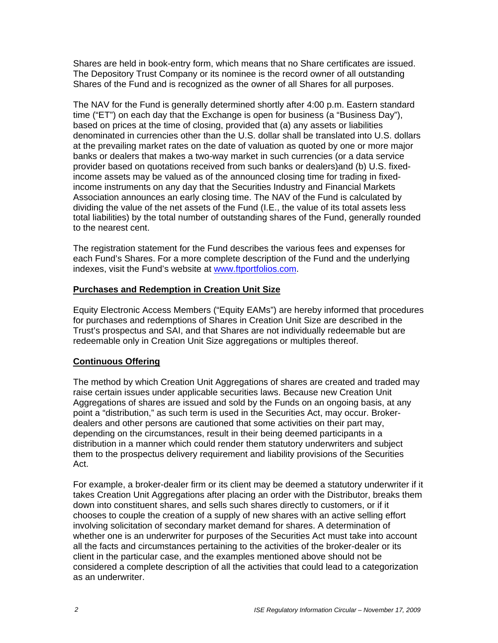Shares are held in book-entry form, which means that no Share certificates are issued. The Depository Trust Company or its nominee is the record owner of all outstanding Shares of the Fund and is recognized as the owner of all Shares for all purposes.

The NAV for the Fund is generally determined shortly after 4:00 p.m. Eastern standard time ("ET") on each day that the Exchange is open for business (a "Business Day"), based on prices at the time of closing, provided that (a) any assets or liabilities denominated in currencies other than the U.S. dollar shall be translated into U.S. dollars at the prevailing market rates on the date of valuation as quoted by one or more major banks or dealers that makes a two-way market in such currencies (or a data service provider based on quotations received from such banks or dealers)and (b) U.S. fixedincome assets may be valued as of the announced closing time for trading in fixedincome instruments on any day that the Securities Industry and Financial Markets Association announces an early closing time. The NAV of the Fund is calculated by dividing the value of the net assets of the Fund (I.E., the value of its total assets less total liabilities) by the total number of outstanding shares of the Fund, generally rounded to the nearest cent.

The registration statement for the Fund describes the various fees and expenses for each Fund's Shares. For a more complete description of the Fund and the underlying indexes, visit the Fund's website at www.ftportfolios.com.

#### **Purchases and Redemption in Creation Unit Size**

Equity Electronic Access Members ("Equity EAMs") are hereby informed that procedures for purchases and redemptions of Shares in Creation Unit Size are described in the Trust's prospectus and SAI, and that Shares are not individually redeemable but are redeemable only in Creation Unit Size aggregations or multiples thereof.

# **Continuous Offering**

The method by which Creation Unit Aggregations of shares are created and traded may raise certain issues under applicable securities laws. Because new Creation Unit Aggregations of shares are issued and sold by the Funds on an ongoing basis, at any point a "distribution," as such term is used in the Securities Act, may occur. Brokerdealers and other persons are cautioned that some activities on their part may, depending on the circumstances, result in their being deemed participants in a distribution in a manner which could render them statutory underwriters and subject them to the prospectus delivery requirement and liability provisions of the Securities Act.

For example, a broker-dealer firm or its client may be deemed a statutory underwriter if it takes Creation Unit Aggregations after placing an order with the Distributor, breaks them down into constituent shares, and sells such shares directly to customers, or if it chooses to couple the creation of a supply of new shares with an active selling effort involving solicitation of secondary market demand for shares. A determination of whether one is an underwriter for purposes of the Securities Act must take into account all the facts and circumstances pertaining to the activities of the broker-dealer or its client in the particular case, and the examples mentioned above should not be considered a complete description of all the activities that could lead to a categorization as an underwriter.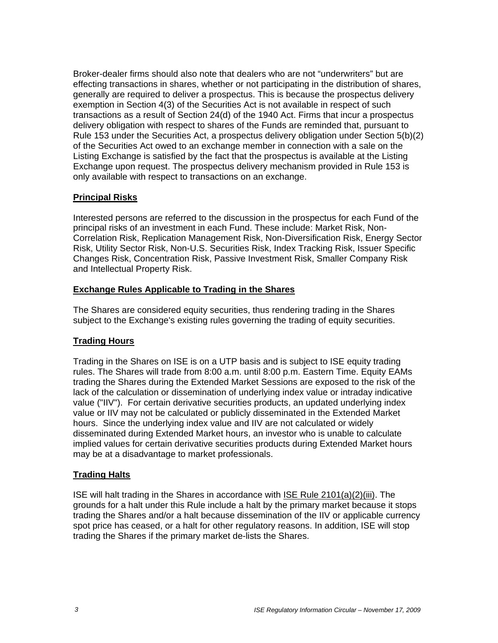Broker-dealer firms should also note that dealers who are not "underwriters" but are effecting transactions in shares, whether or not participating in the distribution of shares, generally are required to deliver a prospectus. This is because the prospectus delivery exemption in Section 4(3) of the Securities Act is not available in respect of such transactions as a result of Section 24(d) of the 1940 Act. Firms that incur a prospectus delivery obligation with respect to shares of the Funds are reminded that, pursuant to Rule 153 under the Securities Act, a prospectus delivery obligation under Section 5(b)(2) of the Securities Act owed to an exchange member in connection with a sale on the Listing Exchange is satisfied by the fact that the prospectus is available at the Listing Exchange upon request. The prospectus delivery mechanism provided in Rule 153 is only available with respect to transactions on an exchange.

#### **Principal Risks**

Interested persons are referred to the discussion in the prospectus for each Fund of the principal risks of an investment in each Fund. These include: Market Risk, Non-Correlation Risk, Replication Management Risk, Non-Diversification Risk, Energy Sector Risk, Utility Sector Risk, Non-U.S. Securities Risk, Index Tracking Risk, Issuer Specific Changes Risk, Concentration Risk, Passive Investment Risk, Smaller Company Risk and Intellectual Property Risk.

#### **Exchange Rules Applicable to Trading in the Shares**

The Shares are considered equity securities, thus rendering trading in the Shares subject to the Exchange's existing rules governing the trading of equity securities.

# **Trading Hours**

Trading in the Shares on ISE is on a UTP basis and is subject to ISE equity trading rules. The Shares will trade from 8:00 a.m. until 8:00 p.m. Eastern Time. Equity EAMs trading the Shares during the Extended Market Sessions are exposed to the risk of the lack of the calculation or dissemination of underlying index value or intraday indicative value ("IIV"). For certain derivative securities products, an updated underlying index value or IIV may not be calculated or publicly disseminated in the Extended Market hours. Since the underlying index value and IIV are not calculated or widely disseminated during Extended Market hours, an investor who is unable to calculate implied values for certain derivative securities products during Extended Market hours may be at a disadvantage to market professionals.

#### **Trading Halts**

ISE will halt trading in the Shares in accordance with ISE Rule 2101(a)(2)(iii). The grounds for a halt under this Rule include a halt by the primary market because it stops trading the Shares and/or a halt because dissemination of the IIV or applicable currency spot price has ceased, or a halt for other regulatory reasons. In addition, ISE will stop trading the Shares if the primary market de-lists the Shares.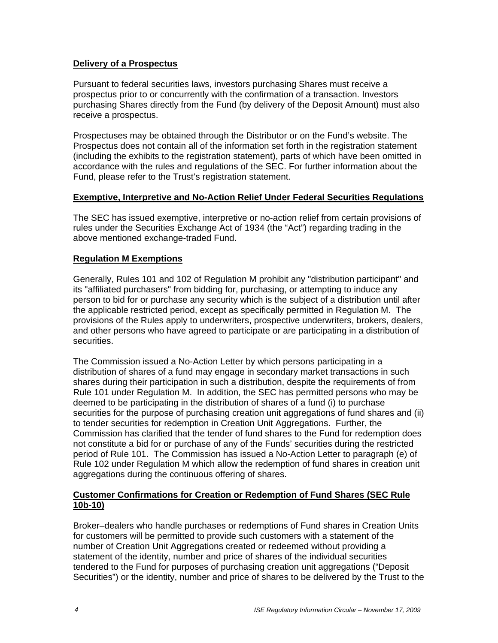#### **Delivery of a Prospectus**

Pursuant to federal securities laws, investors purchasing Shares must receive a prospectus prior to or concurrently with the confirmation of a transaction. Investors purchasing Shares directly from the Fund (by delivery of the Deposit Amount) must also receive a prospectus.

Prospectuses may be obtained through the Distributor or on the Fund's website. The Prospectus does not contain all of the information set forth in the registration statement (including the exhibits to the registration statement), parts of which have been omitted in accordance with the rules and regulations of the SEC. For further information about the Fund, please refer to the Trust's registration statement.

#### **Exemptive, Interpretive and No-Action Relief Under Federal Securities Regulations**

The SEC has issued exemptive, interpretive or no-action relief from certain provisions of rules under the Securities Exchange Act of 1934 (the "Act") regarding trading in the above mentioned exchange-traded Fund.

#### **Regulation M Exemptions**

Generally, Rules 101 and 102 of Regulation M prohibit any "distribution participant" and its "affiliated purchasers" from bidding for, purchasing, or attempting to induce any person to bid for or purchase any security which is the subject of a distribution until after the applicable restricted period, except as specifically permitted in Regulation M. The provisions of the Rules apply to underwriters, prospective underwriters, brokers, dealers, and other persons who have agreed to participate or are participating in a distribution of securities.

The Commission issued a No-Action Letter by which persons participating in a distribution of shares of a fund may engage in secondary market transactions in such shares during their participation in such a distribution, despite the requirements of from Rule 101 under Regulation M. In addition, the SEC has permitted persons who may be deemed to be participating in the distribution of shares of a fund (i) to purchase securities for the purpose of purchasing creation unit aggregations of fund shares and (ii) to tender securities for redemption in Creation Unit Aggregations. Further, the Commission has clarified that the tender of fund shares to the Fund for redemption does not constitute a bid for or purchase of any of the Funds' securities during the restricted period of Rule 101. The Commission has issued a No-Action Letter to paragraph (e) of Rule 102 under Regulation M which allow the redemption of fund shares in creation unit aggregations during the continuous offering of shares.

#### **Customer Confirmations for Creation or Redemption of Fund Shares (SEC Rule 10b-10)**

Broker–dealers who handle purchases or redemptions of Fund shares in Creation Units for customers will be permitted to provide such customers with a statement of the number of Creation Unit Aggregations created or redeemed without providing a statement of the identity, number and price of shares of the individual securities tendered to the Fund for purposes of purchasing creation unit aggregations ("Deposit Securities") or the identity, number and price of shares to be delivered by the Trust to the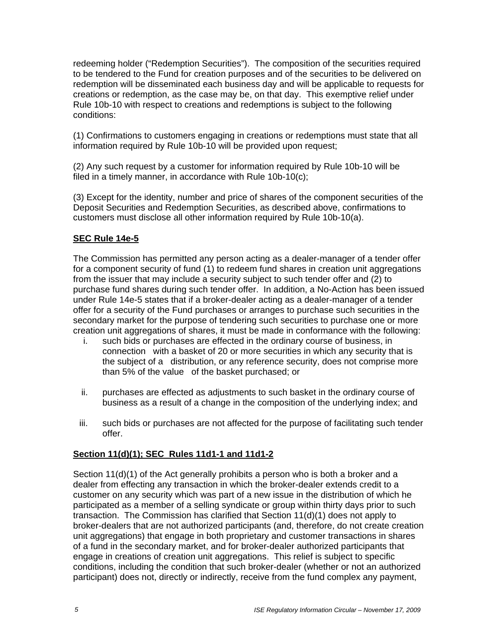redeeming holder ("Redemption Securities"). The composition of the securities required to be tendered to the Fund for creation purposes and of the securities to be delivered on redemption will be disseminated each business day and will be applicable to requests for creations or redemption, as the case may be, on that day. This exemptive relief under Rule 10b-10 with respect to creations and redemptions is subject to the following conditions:

(1) Confirmations to customers engaging in creations or redemptions must state that all information required by Rule 10b-10 will be provided upon request;

(2) Any such request by a customer for information required by Rule 10b-10 will be filed in a timely manner, in accordance with Rule 10b-10(c);

(3) Except for the identity, number and price of shares of the component securities of the Deposit Securities and Redemption Securities, as described above, confirmations to customers must disclose all other information required by Rule 10b-10(a).

#### **SEC Rule 14e-5**

The Commission has permitted any person acting as a dealer-manager of a tender offer for a component security of fund (1) to redeem fund shares in creation unit aggregations from the issuer that may include a security subject to such tender offer and (2) to purchase fund shares during such tender offer. In addition, a No-Action has been issued under Rule 14e-5 states that if a broker-dealer acting as a dealer-manager of a tender offer for a security of the Fund purchases or arranges to purchase such securities in the secondary market for the purpose of tendering such securities to purchase one or more creation unit aggregations of shares, it must be made in conformance with the following:

- i. such bids or purchases are effected in the ordinary course of business, in connection with a basket of 20 or more securities in which any security that is the subject of a distribution, or any reference security, does not comprise more than 5% of the value of the basket purchased; or
- ii. purchases are effected as adjustments to such basket in the ordinary course of business as a result of a change in the composition of the underlying index; and
- iii. such bids or purchases are not affected for the purpose of facilitating such tender offer.

#### **Section 11(d)(1); SEC Rules 11d1-1 and 11d1-2**

Section 11(d)(1) of the Act generally prohibits a person who is both a broker and a dealer from effecting any transaction in which the broker-dealer extends credit to a customer on any security which was part of a new issue in the distribution of which he participated as a member of a selling syndicate or group within thirty days prior to such transaction. The Commission has clarified that Section 11(d)(1) does not apply to broker-dealers that are not authorized participants (and, therefore, do not create creation unit aggregations) that engage in both proprietary and customer transactions in shares of a fund in the secondary market, and for broker-dealer authorized participants that engage in creations of creation unit aggregations. This relief is subject to specific conditions, including the condition that such broker-dealer (whether or not an authorized participant) does not, directly or indirectly, receive from the fund complex any payment,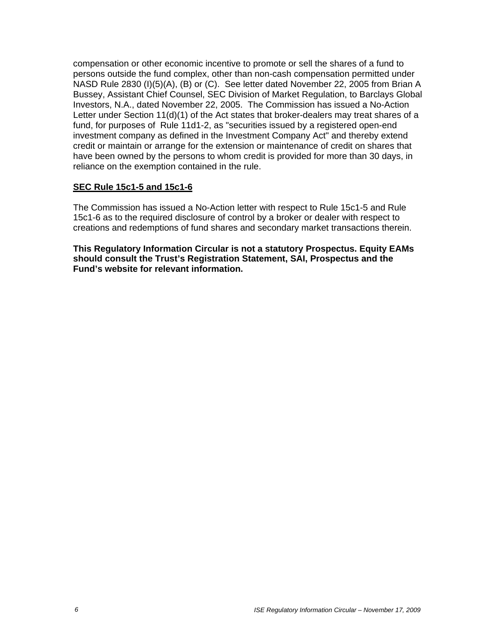compensation or other economic incentive to promote or sell the shares of a fund to persons outside the fund complex, other than non-cash compensation permitted under NASD Rule 2830 (I)(5)(A), (B) or (C). See letter dated November 22, 2005 from Brian A Bussey, Assistant Chief Counsel, SEC Division of Market Regulation, to Barclays Global Investors, N.A., dated November 22, 2005. The Commission has issued a No-Action Letter under Section 11(d)(1) of the Act states that broker-dealers may treat shares of a fund, for purposes of Rule 11d1-2, as "securities issued by a registered open-end investment company as defined in the Investment Company Act" and thereby extend credit or maintain or arrange for the extension or maintenance of credit on shares that have been owned by the persons to whom credit is provided for more than 30 days, in reliance on the exemption contained in the rule.

#### **SEC Rule 15c1-5 and 15c1-6**

The Commission has issued a No-Action letter with respect to Rule 15c1-5 and Rule 15c1-6 as to the required disclosure of control by a broker or dealer with respect to creations and redemptions of fund shares and secondary market transactions therein.

**This Regulatory Information Circular is not a statutory Prospectus. Equity EAMs should consult the Trust's Registration Statement, SAI, Prospectus and the Fund's website for relevant information.**